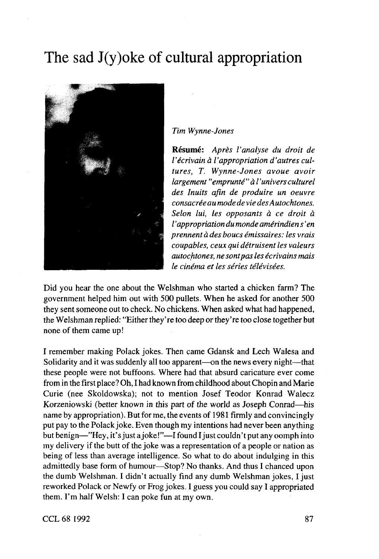## The sad J(y)oke of cultural appropriation



## *Tim Wynne-Jones*

**Resume:** *Apres I'analyse du droit de I'ecrivain a I'appropriation d'autres cultures, T. Wynne-Jones avoue avoir largement "emprunte" a I'univers culturel des Inuits afin de produire un oeuvre consacreeau modede vie des Autochtones. Selon lui, les opposants a ce droit a I 'appropriation du monde amerindien s 'en*  $p$ rennent à des boucs émissaires: les vrais *coupables, ceux qui detruisent les valeurs autochtones, ne sontpas les ecrivains mais Ie cinema et les series televisees.*

Did you hear the one about the Welshman who started a chicken farm? The government helped him out with 500 pullets. When he asked for another 500 they sent someone out to check. No chickens. When asked what had happened, the Welshman replied: "Either they're too deep or they're too close together but none of them came up!

I remember making Polack jokes. Then came Gdansk and Lech Walesa and Solidarity and it was suddenly all too apparent—on the news every night—that these people were not buffoons. Where had that absurd caricature ever come from in the first place? Oh, I had known from childhood about Chopin and Marie Curie (nee Skoldowska); not to mention Josef Teodor Konrad Walecz Korzeniowski (better known in this part of the world as Joseph Conrad—his name by appropriation). But for me, the events of 1981 firmly and convincingly put pay to the Polack joke. Even though my intentions had never been anything but benign—"Hey, it's just ajoke!"—I found I just couldn' t put any oomph into my delivery if the butt of the joke was a representation of a people or nation as being of less than average intelligence. So what to do about indulging in this admittedly base form of humour—Stop? No thanks. And thus I chanced upon the dumb Welshman. I didn't actually find any dumb Welshman jokes, I just reworked Polack or Newfy or Frog jokes. I guess you could say I appropriated them. I'm half Welsh: I can poke fun at my own.

CCL 68 1992 87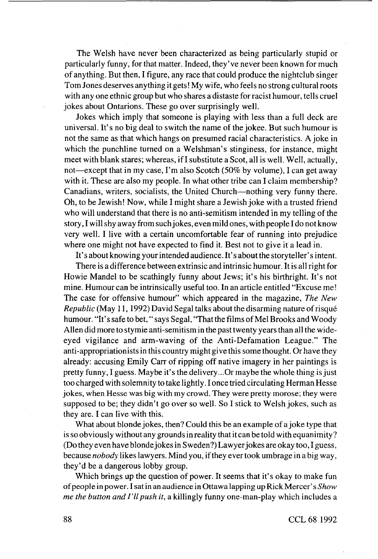The Welsh have never been characterized as being particularly stupid or particularly funny, for that matter. Indeed, they've never been known for much of anything. But then, I figure, any race that could produce the nightclub singer Tom Jones deserves anything it gets! My wife, who feels no strong cultural roots with any one ethnic group but who shares a distaste for racist humour, tells cruel jokes about Ontarions. These go over surprisingly well.

Jokes which imply that someone is playing with less than a full deck are universal. It's no big deal to switch the name of the jokee. But such humour is not the same as that which hangs on presumed racial characteristics. A joke in which the punchline turned on a Welshman's stinginess, for instance, might meet with blank stares; whereas, if I substitute a Scot, all is well. Well, actually, not—except that in my case, I'm also Scotch (50% by volume), I can get away with it. These are also my people. In what other tribe can I claim membership? Canadians, writers, socialists, the United Church—nothing very funny there. Oh, to be Jewish! Now, while I might share a Jewish joke with a trusted friend who will understand that there is no anti-semitism intended in my telling of the story, I will shy away from such jokes, even mild ones, with people I do not know very well. I live with a certain uncomfortable fear of running into prejudice where one might not have expected to find it. Best not to give it a lead in.

It's about knowing your intended audience. It's about the storyteller's intent.

There is a difference between extrinsic and intrinsic humour. It is all right for Howie Mandel to be scathingly funny about Jews; it's his birthright. It's not mine. Humour can be intrinsically useful too. In an article entitled "Excuse me! The case for offensive humour" which appeared in the magazine. *The New Republic* (May 11, 1992) David Segal talks about the disarming nature of risqué humour. "It's safe to bet, "says Segal, "That the films of Mel Brooks and Woody Alien did more to stymie anti-semitism in the past twenty years than all the wideeyed vigilance and arm-waving of the Anti-Defamation League." The anti-appropriationists in this country might give this some thought. Or have they already: accusing Emily Carr of ripping off native imagery in her paintings is pretty funny, I guess. Maybe it's the delivery...Or maybe the whole thing is just too charged with solemnity to take lightly. I once tried circulating Herman Hesse jokes, when Hesse was big with my crowd. They were pretty morose; they were supposed to be; they didn't go over so well. So I stick to Welsh jokes, such as they are. I can live with this.

What about blonde jokes, then? Could this be an example of a joke type that is so obviously without any grounds in reality that it can be told with equanimity? (Do they even have blonde jokes in Sweden?) Lawyer jokes are okay too, I guess, because *nobody* likes lawyers. Mind you, if they ever took umbrage in a big way, they'd be a dangerous lobby group.

Which brings up the question of power. It seems that it's okay to make fun of people in power. I sat in an audience in Ottawa lapping up Rick Mercer's *Show me the button and I'l l push it,* a killingly funny one-man-play which includes a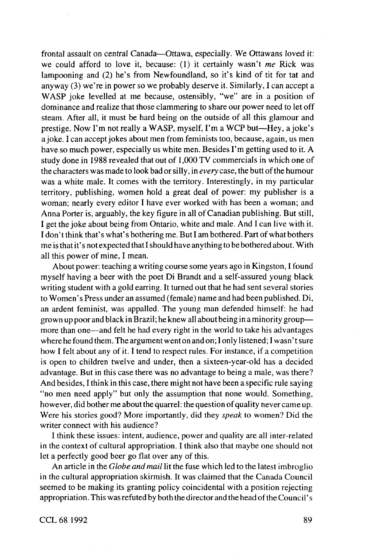frontal assault on central Canada—Ottawa, especially. We Ottawans loved it: we could afford to love it, because: (1) it certainly wasn't *me* Rick was lampooning and (2) he's from Newfoundland, so it's kind of tit for tat and anyway (3) we're in power so we probably deserve it. Similarly, I can accept a WASP joke levelled at me because, ostensibly, "we" are in a position of dominance and realize that those clammering to share our power need to let off steam. After all, it must be hard being on the outside of all this glamour and prestige. Now I'm not really a WASP, myself, I'm a WCP but—Hey, a joke's a joke. I can accept jokes about men from feminists too, because, again, us men have so much power, especially us white men. Besides I'm getting used to it. A study done in 1988 revealed that out of 1,000 TV commercials in which one of the characters was made to look bad or silly, in *every* case, the butt of the humour was a white male. It comes with the territory. Interestingly, in my particular territory, publishing, women hold a great deal of power: my publisher is a woman; nearly every editor I have ever worked with has been a woman; and Anna Porter is, arguably, the key figure in all of Canadian publishing. But still, I get the joke about being from Ontario, white and male. And I can live with it. I don't think that's what's bothering me. But I am bothered. Part of what bothers me is that it's not expected that I should have anything to be bothered about. With all this power of mine, I mean.

About power: teaching a writing course some years ago in Kingston, I found myself having a beer with the poet Di Brandt and a self-assured young black writing student with a gold earring. It turned out that he had sent several stories to Women's Press under an assumed (female) name and had been published. Di, an ardent feminist, was appalled. The young man defended himself: he had grown up poor and black in Brazil; he knew all about being in a minority group more than one—and felt he had every right in the world to take his advantages where he found them. The argument went on and on; I only listened; I wasn't sure how I felt about any of it. I tend to respect rules. For instance, if a competition is open to children twelve and under, then a sixteen-year-old has a decided advantage. But in this case there was no advantage to being a male, was there? And besides, I think in this case, there might not have been a specific rule saying "no men need apply" but only the assumption that none would. Something, however, did bother me about the quarrel: the question of quality never came up. Were his stories good? More importantly, did they *speak* to women? Did the writer connect with his audience?

I think these issues: intent, audience, power and quality are all inter-related in the context of cultural appropriation. I think also that maybe one should not let a perfectly good beer go flat over any of this.

An article in the *Globe and mail* lit the fuse which led to the latest imbroglio in the cultural appropriation skirmish. It was claimed that the Canada Council seemed to be making its granting policy coincidental with a position rejecting appropriation. This was refuted by both the director and the head of the Council's

CCL 68 1992 89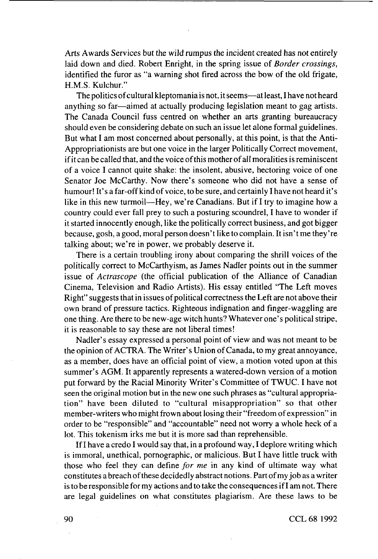Arts Awards Services but the wild rumpus the incident created has not entirely laid down and died. Robert Enright, in the spring issue of *Border crossings,* identified the furor as "a warning shot fired across the bow of the old frigate, H.M.S. Kulchur."

The politics of cultural kleptomania is not, it seems—at least, I have not heard anything so far—aimed at actually producing legislation meant to gag artists. The Canada Council fuss centred on whether an arts granting bureaucracy should even be considering debate on such an issue let alone formal guidelines. But what I am most concerned about personally, at this point, is that the Anti-Appropriationists are but one voice in the larger Politically Correct movement, if it can be called that, and the voice of this mother of all moralities is reminiscent of a voice I cannot quite shake: the insolent, abusive, hectoring voice of one Senator Joe McCarthy. Now there's someone who did not have a sense of humour! It's a far-off kind of voice, to be sure, and certainly I have not heard it's like in this new turmoil—Hey, we're Canadians. But if I try to imagine how a country could ever fall prey to such a posturing scoundrel, I have to wonder if it started innocently enough, like the politically correct business, and got bigger because, gosh, a good, moral person doesn't like to complain. It isn't me they're talking about; we're in power, we probably deserve it.

There is a certain troubling irony about comparing the shrill voices of the politically correct to McCarthyism, as James Nadler points out in the summer issue of *Actrascope* (the official publication of the Alliance of Canadian Cinema, Television and Radio Artists). His essay entitled "The Left moves Right" suggests that in issues of political correctness the Left are not above their own brand of pressure tactics. Righteous indignation and finger-waggling are one thing. Are there to be new-age witch hunts? Whatever one's political stripe, it is reasonable to say these are not liberal times!

Nadler's essay expressed a personal point of view and was not meant to be the opinion of ACTRA. The Writer's Union of Canada, to my great annoyance, as a member, does have an official point of view, a motion voted upon at this summer's AGM. It apparently represents a watered-down version of a motion put forward by the Racial Minority Writer's Committee of TWUC. I have not seen the original motion but in the new one such phrases as "cultural appropriation" have been diluted to "cultural misappropriation" so that other member-writers who might frown about losing their "freedom of expression" in order to be "responsible" and "accountable" need not worry a whole heck of a lot. This tokenism irks me but it is more sad than reprehensible.

If I have a credo I would say that, in a profound way, I deplore writing which is immoral, unethical, pornographic, or malicious. But I have little truck with those who feel they can define *for me* in any kind of ultimate way what constitutes a breach of these decidedly abstract notions. Part of my job as a writer is to be responsible for my actions and to take the consequences if I am not. There are legal guidelines on what constitutes plagiarism. Are these laws to be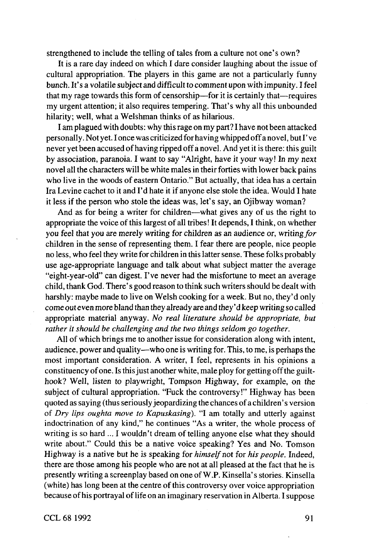strengthened to include the telling of tales from a culture not one's own?

It is a rare day indeed on which I dare consider laughing about the issue of cultural appropriation. The players in this game are not a particularly funny bunch. It's a volatile subject and difficult to comment upon with impunity. I feel that my rage towards this form of censorship—for it is certainly that—requires my urgent attention; it also requires tempering. That's why all this unbounded hilarity; well, what a Welshman thinks of as hilarious.

I am plagued with doubts: why this rage on my part? I have not been attacked personally. Not yet. I once was criticized for having whipped off a novel, but I' ve never yet been accused of having ripped off a novel. And yet it is there: this guilt by association, paranoia. I want to say "Alright, have it your way! In my next novel all the characters will be white males in their forties with lower back pains who live in the woods of eastern Ontario." But actually, that idea has a certain Ira Levine cachet to it and I'd hate it if anyone else stole the idea. Would I hate it less if the person who stole the ideas was, let's say, an Ojibway woman?

And as for being a writer for children—what gives any of us the right to appropriate the voice of this largest of all tribes! It depends, I think, on whether you feel that you are merely writing for children as an audience or, writing for children in the sense of representing them. I fear there are people, nice people no less, who feel they write for children in this latter sense. These folks probably use age-appropriate language and talk about what subject matter the average "eight-year-old" can digest. I've never had the misfortune to meet an average child, thank God. There's good reason to think such writers should be dealt with harshly: maybe made to live on Welsh cooking for a week. But no, they'd only come out even more bland than they already are and they'd keep writing so called appropriate material anyway. *No real literature should be appropriate, but rather it should be challenging and the two things seldom go together.*

All of which brings me to another issue for consideration along with intent, audience, power and quality—who one is writing for. This, to me, is perhaps the most important consideration. A writer, I feel, represents in his opinions a constituency of one. Is this just another white, male ploy for getting off the guilthook? Well, listen to playwright, Tompson Highway, for example, on the subject of cultural appropriation. "Fuck the controversy!" Highway has been quoted as saying (thus seriously jeopardizing the chances of a children's version of *Dry lips oughta move to Kapuskasing).* "I am totally and utterly against indoctrination of any kind," he continues "As a writer, the whole process of writing is so hard ... I wouldn't dream of telling anyone else what they should write about." Could this be a native voice speaking? Yes and No. Tomson Highway is a native but he is speaking for *himself not* for *his people.* Indeed, there are those among his people who are not at all pleased at the fact that he is presently writing a screenplay based on one of W.P. Kinsella's stories. Kinsella (white) has long been at the centre of this controversy over voice appropriation because of his portrayal of life on an imaginary reservation in Alberta. I suppose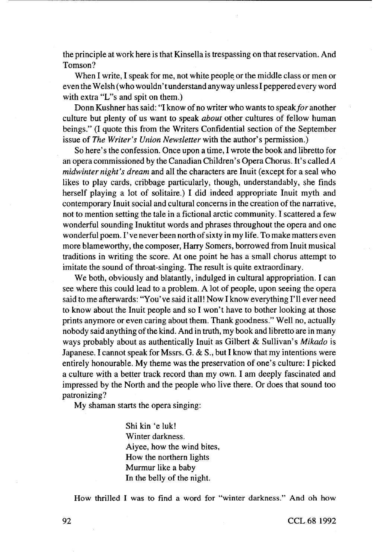the principle at work here is that Kinsella is trespassing on that reservation. And Tomson?

When I write, I speak for me, not white people or the middle class or men or even the Welsh (who wouldn' t understand anyway unless I peppered every word with extra "L"s and spit on them.)

Donn Kushner has said: "I know of no writer who wants to speak for another culture but plenty of us want to speak *about* other cultures of fellow human beings." (I quote this from the Writers Confidential section of the September issue of *The Writer's Union Newsletter* with the author's permission.)

So here's the confession. Once upon a time, I wrote the book and libretto for an opera commissioned by the Canadian Children's Opera Chorus. It's called A *midwinter night's dream* and all the characters are Inuit (except for a seal who likes to play cards, cribbage particularly, though, understandably, she finds herself playing a lot of solitaire.) I did indeed appropriate Inuit myth and contemporary Inuit social and cultural concerns in the creation of the narrative, not to mention setting the tale in a fictional arctic community. I scattered a few wonderful sounding Inuktitut words and phrases throughout the opera and one wonderful poem. I' ve never been north of sixty in my life. To make matters even more blameworthy, the composer, Harry Somers, borrowed from Inuit musical traditions in writing the score. At one point he has a small chorus attempt to imitate the sound of throat-singing. The result is quite extraordinary.

We both, obviously and blatantly, indulged in cultural appropriation. I can see where this could lead to a problem. A lot of people, upon seeing the opera said to me afterwards: "You' ve said it all! Now I know everything I' 11 ever need to know about the Inuit people and so I won't have to bother looking at those prints anymore or even caring about them. Thank goodness." Well no, actually nobody said anything of the kind. And in truth, my book and libretto are in many ways probably about as authentically Inuit as Gilbert & Sullivan's *Mikado is* Japanese. I cannot speak for Mssrs. G. & S., but I know that my intentions were entirely honourable. My theme was the preservation of one's culture: I picked a culture with a better track record than my own. I am deeply fascinated and impressed by the North and the people who live there. Or does that sound too patronizing?

My shaman starts the opera singing:

Shi kin 'e luk! Winter darkness. Aiyee, how the wind bites, How the northern lights Murmur like a baby In the belly of the night.

How thrilled I was to find a word for "winter darkness." And oh how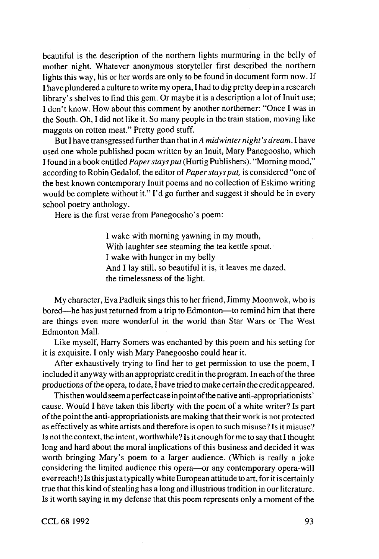beautiful is the description of the northern lights murmuring in the belly of mother night. Whatever anonymous storyteller first described the northern lights this way, his or her words are only to be found in document form now. If I have plundered a culture to write my opera, I had to dig pretty deep in a research library's shelves to find this gem. Or maybe it is a description a lot of Inuituse; I don't know. How about this comment by another northerner: "Once I was in the South. Oh, I did not like it. So many people in the train station, moving like maggots on rotten meat." Pretty good stuff.

But I have transgressed further than that in A *midwinter night's dream.* I have used one whole published poem written by an Inuit, Mary Panegoosho, which I found in a book entitled *Paper stays put* (Hurtig Publishers). "Morning mood," according to Robin Gedalof, the editor of *Paper stays put,* is considered "one of the best known contemporary Inuit poems and no collection of Eskimo writing would be complete without it." I'd go further and suggest it should be in every school poetry anthology.

Here is the first verse from Panegoosho's poem:

I wake with morning yawning in my mouth, With laughter see steaming the tea kettle spout. I wake with hunger in my belly And I lay still, so beautiful it is, it leaves me dazed, the timelessness of the light.

My character, Eva Padluik sings this to her friend. Jimmy Moonwok, who is bored—he has just returned from a trip to Edmonton—to remind him that there are things even more wonderful in the world than Star Wars or The West Edmonton Mall.

Like myself. Harry Somers was enchanted by this poem and his setting for it is exquisite. I only wish Mary Panegoosho could hear it.

After exhaustively trying to find her to get permission to use the poem, I included it anyway with an appropriate credit in the program. In each of the three productions of the opera, to date, I have tried to make certain the credit appeared.

This then would seem a perfect case in point of the native anti-appropriationists' cause. Would I have taken this liberty with the poem of a white writer? Is part of the point the anti-appropriationists are making that their work is not protected as effectively as white artists and therefore is open to such misuse? Is it misuse? Is not the context, the intent, worthwhile? Is it enough for me to say that I thought long and hard about the moral implications of this business and decided it was worth bringing Mary's poem to a larger audience. (Which is really a joke considering the limited audience this opera—or any contemporary opera-will ever reach!) Is this just a typically white European attitude to art, for it is certainly true that this kind of stealing has a long and illustrious tradition in our literature. Is it worth saying in my defense that this poem represents only a moment of the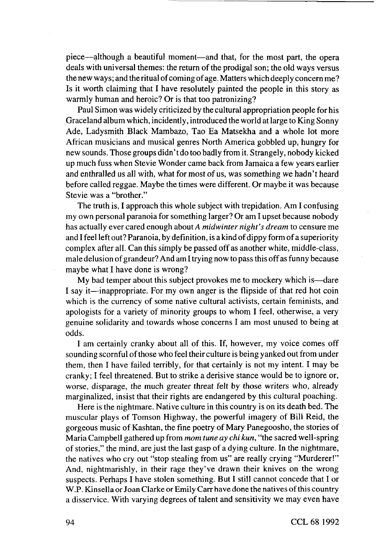piece—although a beautiful moment—and that, for the most part, the opera deals with universal themes: the return of the prodigal son; the old ways versus the new ways; and the ritual of coming of age. Matters which deeply concern me? Is it worth claiming that I have resolutely painted the people in this story as warmly human and heroic? Or is that too patronizing?

Paul Simon was widely criticized by the cultural appropriation people for his Graceland album which, incidently, introduced the world at large to King Sonny Ade, Ladysmith Black Mambazo, Tao Ea Matsekha and a whole lot more African musicians and musical genres North America gobbled up, hungry for new sounds. Those groups didn't do too badly from it. Strangely, nobody kicked up much fuss when Stevie Wonder came back from Jamaica a few years earlier and enthralled us all with, what for most of us, was something we hadn't heard before called reggae. Maybe the times were different. Or maybe it was because Stevie was a "brother."

The truth is, I approach this whole subject with trepidation. Am I confusing my own personal paranoia for something larger? Or am I upset because nobody has actually ever cared enough about A *midwinter night's dream* to censure me and I feel left out? Paranoia, by definition, is a kind of dippy form of a superiority complex after all. Can this simply be passed off as another white, middle-class, male delusion of grandeur? And am I trying now to pass this off as funny because maybe what I have done is wrong?

My bad temper about this subject provokes me to mockery which is—dare I say it—inappropriate. For my own anger is the flipside of that red hot coin which is the currency of some native cultural activists, certain feminists, and apologists for a variety of minority groups to whom I feel, otherwise, a very genuine solidarity and towards whose concerns I am most unused to being at odds.

I am certainly cranky about all of this. If, however, my voice comes off sounding scornful of those who feel their culture is being yanked out from under them, then I have failed terribly, for that certainly is not my intent. I may be cranky; I feel threatened. But to strike a derisive stance would be to ignore or, worse, disparage, the much greater threat felt by those writers who, already marginalized, insist that their rights are endangered by this cultural poaching.

Here is the nightmare. Native culture in this country is on its death bed. The muscular plays of Tomson Highway, the powerful imagery of Bill Reid, the gorgeous music of Kashtan, the fine poetry of Mary Panegoosho, the stories of Maria Campbell gathered up from *mom tune ay chi kun,* "the sacred well-spring of stories," the mind, are just the last gasp of a dying culture. In the nightmare, the natives who cry out "stop stealing from us" are really crying "Murderer!" And, nightmarishly, in their rage they've drawn their knives on the wrong suspects. Perhaps I have stolen something. But I still cannot concede that I or W.P. Kinsella or Joan Clarke or Emily Carr have done the natives of this country a disservice. With varying degrees of talent and sensitivity we may even have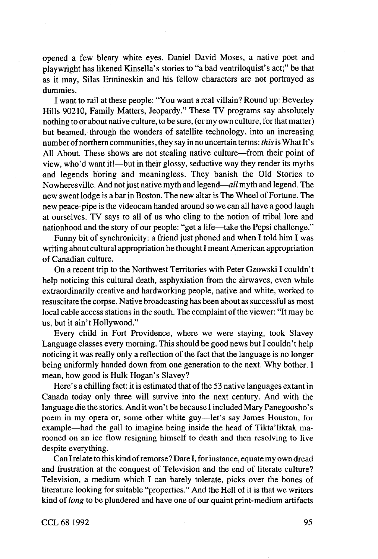opened a few bleary white eyes. Daniel David Moses, a native poet and playwright has likened Kinsella's stories to "a bad ventriloquist's act;" be that as it may, Silas Ermineskin and his fellow characters are not portrayed as dummies.

I want to rail at these people: "You want a real villain? Round up: Beverley Hills 90210, Family Matters, Jeopardy." These TV programs say absolutely nothing to or about native culture, to be sure, (or my own culture, for that matter) but beamed, through the wonders of satellite technology, into an increasing number of northern communities, they say in no uncertain terms: *this is* What It's All About. These shows are not stealing native culture—from their point of view, who'd want it!—but in their glossy, seductive way they render its myths and legends boring and meaningless. They banish the Old Stories to Nowheresville. And not just native myth and legend—*all* myth and legend. The new sweat lodge is a bar in Boston. The new altar is The Wheel of Fortune. The new peace-pipe is the videocam handed around so we can all have a good laugh at ourselves. TV says to all of us who cling to the notion of tribal lore and nationhood and the story of our people: "get a life—take the Pepsi challenge."

Funny bit of synchronicity: a friend just phoned and when I told him I was writing about cultural appropriation he thought I meant American appropriation of Canadian culture.

On a recent trip to the Northwest Territories with Peter Gzowski I couldn't help noticing this cultural death, asphyxiation from the airwaves, even while extraordinarily creative and hardworking people, native and white, worked to resuscitate the corpse. Native broadcasting has been about as successful as most local cable access stations in the south. The complaint of the viewer: "It may be us, but it ain't Hollywood."

Every child in Fort Providence, where we were staying, took Slavey Language classes every morning. This should be good news but I couldn't help noticing it was really only a reflection of the fact that the language is no longer being uniformly handed down from one generation to the next. Why bother. I mean, how good is Hulk Hogan's Slavey?

Here's a chilling fact: it is estimated that of the 53 native languages extant in Canada today only three will survive into the next century. And with the language die the stories. And it won't be because I included Mary Panegoosho's poem in my opera or, some other white guy—let's say James Houston, for example—had the gall to imagine being inside the head of Tikta'liktak marooned on an ice flow resigning himself to death and then resolving to live despite everything.

Can I relate to this kind of remorse? Dare I, for instance, equate my own dread and frustration at the conquest of Television and the end of literate culture? Television, a medium which I can barely tolerate, picks over the bones of literature looking for suitable "properties." And the Hell of it is that we writers kind of *long* to be plundered and have one of our quaint print-medium artifacts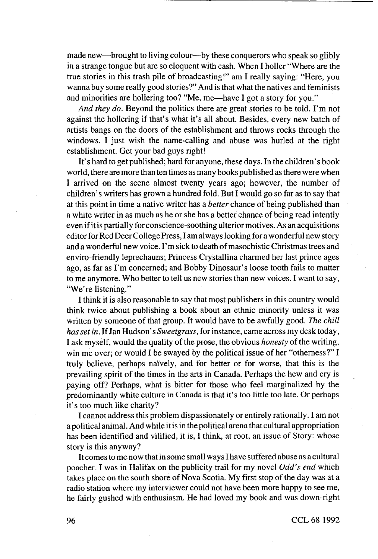made new—brought to living colour—by these conquerors who speak so glibly in a strange tongue but are so eloquent with cash. When I holler "Where are the true stories in this trash pile of broadcasting!" am I really saying: "Here, you wanna buy some really good stories?" And is that what the natives and feminists and minorities are hollering too? "Me, me—have I got a story for you."

*And they do.* Beyond the politics there are great stories to be told. I'm not against the hollering if that's what it's all about. Besides, every new batch of artists bangs on the doors of the establishment and throws rocks through the windows. I just wish the name-calling and abuse was hurled at the right establishment. Get your bad guys right!

It's hard to get published; hard for anyone, these days. In the children's book world, there are more than ten times as many books published as there were when I arrived on the scene almost twenty years ago; however, the number of children's writers has grown a hundred fold. But I would go so far as to say that at this point in time a native writer has a *better* chance of being published than a white writer in as much as he or she has a better chance of being read intently even if it is partially for conscience-soothing ulterior motives. As an acquisitions editor for Red Deer College Press, I am always looking for a wonderful new story and a wonderful new voice. I'm sick to death of masochistic Christmas trees and enviro-friendly leprechauns; Princess Crystallina charmed her last prince ages ago, as far as I'm concerned; and Bobby Dinosaur's loose tooth fails to matter to me anymore. Who better to tell us new stories than new voices. I want to say, "We're listening."

I think it is also reasonable to say that most publishers in this country would think twice about publishing a book about an ethnic minority unless it was written by someone of that group. It would have to be awfully good. *The chill has set in.* If Jan Hudson's *Sweetgrass,* for instance, came across my desk today, I ask myself, would the quality of the prose, the obvious *honesty* of the writing, win me over; or would I be swayed by the political issue of her "otherness?" I truly believe, perhaps naively, and for better or for worse, that this is the prevailing spirit of the times in the arts in Canada. Perhaps the hew and cry is paying off? Perhaps, what is bitter for those who feel marginalized by the predominantly white culture in Canada is that it's too little too late. Or perhaps it's too much like charity?

I cannot address this problem dispassionately or entirely rationally. I am not a political animal. And while it is in the political arena that cultural appropriation has been identified and vilified, it is, I think, at root, an issue of Story: whose story is this anyway?

It comes to me now that in some small ways I have suffered abuse as a cultural poacher. I was in Halifax on the publicity trail for my novel *Odd's end* which takes place on the south shore of Nova Scotia. My first stop of the day was at a radio station where my interviewer could not have been more happy to see me, he fairly gushed with enthusiasm. He had loved my book and was down-right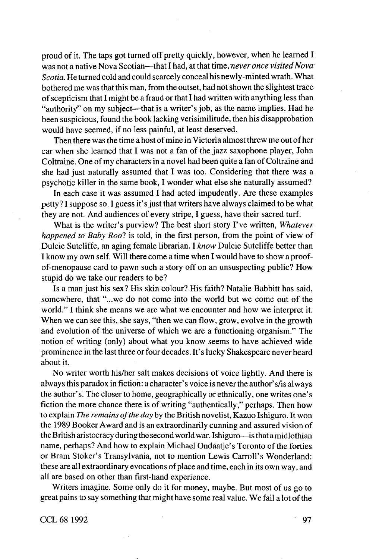proud of it. The taps got turned off pretty quickly, however, when he learned I was not a native Nova Scotian—that I had, at that *time, never once visited Nova Scotia.* He turned cold and could scarcely conceal his newly-minted wrath. What bothered me was that this man, from the outset, had not shown the slightest trace of scepticism that I might be a fraud or that I had written with anything less than "authority" on my subject—that is a writer's job, as the name implies. Had he been suspicious, found the book lacking verisimilitude, then his disapprobation would have seemed, if no less painful, at least deserved.

Then there was the time a host of mine in Victoria almost threw me out of her car when she learned that I was not a fan of the jazz saxophone player, John Coltraine. One of my characters in a novel had been quite a fan of Coltraine and she had just naturally assumed that I was too. Considering that there was a psychotic killer in the same book, I wonder what else she naturally assumed?

In each case it was assumed I had acted impudently. Are these examples petty? I suppose so. I guess it's just that writers have always claimed to be what they are not. And audiences of every stripe, I guess, have their sacred turf.

What is the writer's purview? The best short story I've written. *Whatever happened to Baby Roo?* is told, in the first person, from the point of view of Dulcie Sutcliffe, an aging female librarian. I *know* Dulcie Sutcliffe better than I know my own self. Will there come a time when I would have to show a proofof-menopause card to pawn such a story off on an unsuspecting public? How stupid do we take our readers to be?

Is a man just his sex? His skin colour? His faith? Natalie Babbitt has said, somewhere, that "...we do not come into the world but we come out of the world." I think she means we are what we encounter and how we interpret it. When we can see this, she says, "then we can flow, grow, evolve in the growth and evolution of the universe of which we are a functioning organism." The notion of writing (only) about what you know seems to have achieved wide prominence in the last three or four decades. It's lucky Shakespeare never heard about it.

No writer worth his/her salt makes decisions of voice lightly. And there is always this paradox in fiction: acharacter's voice is never the author's/is always the author's. The closer to home, geographically or ethnically, one writes one's fiction the more chance there is of writing "authentically," perhaps. Then how to explain *The remains of the day* by the British novelist, Kazuo Ishiguro. It won the 1989 Booker Award and is an extraordinarily cunning and assured vision of the British aristocracy during the second world war. Ishiguro—is that a midlothian name, perhaps? And how to explain Michael Ondaatje's Toronto of the forties or Bram Stoker's Transylvania, not to mention Lewis Carroll's Wonderland: these are all extraordinary evocations of place and time, each in its own way, and all are based on other than first-hand experience.

Writers imagine. Some only do it for money, maybe. But most of us go to great pains to say something that might have some real value. We fail a lot of the

**CCL 68 1992** 97